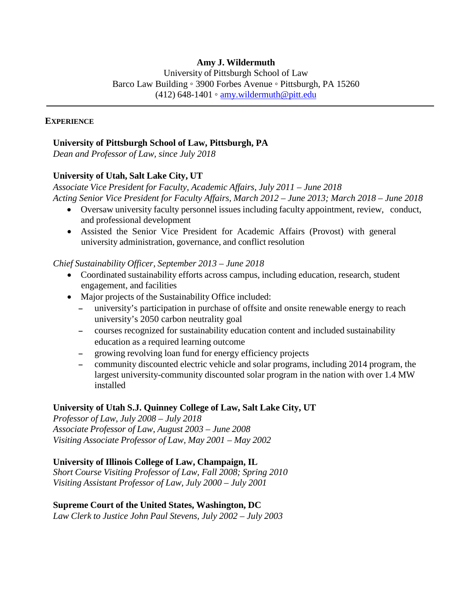# **Amy J. Wildermuth**

University of Pittsburgh School of Law Barco Law Building ◦ 3900 Forbes Avenue ◦ Pittsburgh, PA 15260 (412) 648-1401 ∘ [amy.wildermuth@pitt.edu](mailto:amy.wildermuth@pitt.edu)

#### **EXPERIENCE**

#### **University of Pittsburgh School of Law, Pittsburgh, PA**

*Dean and Professor of Law, since July 2018*

### **University of Utah, Salt Lake City, UT**

*Associate Vice President for Faculty, Academic Affairs*, *July 2011 – June 2018 Acting Senior Vice President for Faculty Affairs, March 2012 – June 2013; March 2018 – June 2018*

- Oversaw university faculty personnel issues including faculty appointment, review, conduct, and professional development
- Assisted the Senior Vice President for Academic Affairs (Provost) with general university administration, governance, and conflict resolution

#### *Chief Sustainability Officer, September 2013 – June 2018*

- Coordinated sustainability efforts across campus, including education, research, student engagement, and facilities
- Major projects of the Sustainability Office included:
	- university's participation in purchase of offsite and onsite renewable energy to reach university's 2050 carbon neutrality goal
	- courses recognized for sustainability education content and included sustainability education as a required learning outcome
	- growing revolving loan fund for energy efficiency projects
	- community discounted electric vehicle and solar programs, including 2014 program, the largest university-community discounted solar program in the nation with over 1.4 MW installed

#### **University of Utah S.J. Quinney College of Law, Salt Lake City, UT**

*Professor of Law, July 2008 – July 2018 Associate Professor of Law, August 2003 – June 2008 Visiting Associate Professor of Law, May 2001 – May 2002*

## **University of Illinois College of Law, Champaign, IL**

*Short Course Visiting Professor of Law, Fall 2008; Spring 2010 Visiting Assistant Professor of Law, July 2000 – July 2001*

#### **Supreme Court of the United States, Washington, DC**

*Law Clerk to Justice John Paul Stevens, July 2002 – July 2003*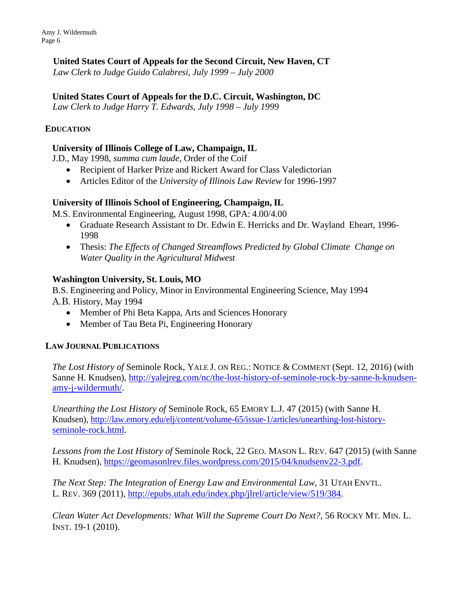Amy J. Wildermuth Page 6

## **United States Court of Appeals for the Second Circuit, New Haven, CT**

*Law Clerk to Judge Guido Calabresi, July 1999 – July 2000*

## **United States Court of Appeals for the D.C. Circuit, Washington, DC**

*Law Clerk to Judge Harry T. Edwards, July 1998 – July 1999*

### **EDUCATION**

## **University of Illinois College of Law, Champaign, IL**

J.D., May 1998, *summa cum laude*, Order of the Coif

- Recipient of Harker Prize and Rickert Award for Class Valedictorian
- Articles Editor of the *University of Illinois Law Review* for 1996-1997

### **University of Illinois School of Engineering, Champaign, IL**

M.S. Environmental Engineering, August 1998, GPA: 4.00/4.00

- Graduate Research Assistant to Dr. Edwin E. Herricks and Dr. Wayland Eheart, 1996- 1998
- Thesis: *The Effects of Changed Streamflows Predicted by Global Climate Change on Water Quality in the Agricultural Midwest*

### **Washington University, St. Louis, MO**

B.S. Engineering and Policy, Minor in Environmental Engineering Science, May 1994 A.B. History, May 1994

- Member of Phi Beta Kappa, Arts and Sciences Honorary
- Member of Tau Beta Pi, Engineering Honorary

#### **LAWJOURNAL PUBLICATIONS**

*The Lost History of* Seminole Rock, YALE J. ON REG.: NOTICE & COMMENT (Sept. 12, 2016) (with Sanne H. Knudsen), [http://yalejreg.com/nc/the-lost-history-of-seminole-rock-by-sanne-h-knudsen](http://yalejreg.com/nc/the-lost-history-of-seminole-rock-by-sanne-h-knudsen-amy-j-wildermuth/)[amy-j-wildermuth/.](http://yalejreg.com/nc/the-lost-history-of-seminole-rock-by-sanne-h-knudsen-amy-j-wildermuth/)

*Unearthing the Lost History of* Seminole Rock, 65 EMORY L.J. 47 (2015) (with Sanne H. Knudsen), [http://law.emory.edu/elj/content/volume-65/issue-1/articles/unearthing-lost-history](http://law.emory.edu/elj/content/volume-65/issue-1/articles/unearthing-lost-history-seminole-rock.html)[seminole-rock.html.](http://law.emory.edu/elj/content/volume-65/issue-1/articles/unearthing-lost-history-seminole-rock.html)

*Lessons from the Lost History of* Seminole Rock*,* 22 GEO. MASON L. REV. 647 (2015) (with Sanne H. Knudsen), [https://geomasonlrev.files.wordpress.com/2015/04/knudsenv22-3.pdf.](https://geomasonlrev.files.wordpress.com/2015/04/knudsenv22-3.pdf)

*The Next Step: The Integration of Energy Law and Environmental Law,* 31 UTAH ENVTL. L. REV. 369 (2011), [http://epubs.utah.edu/index.php/jlrel/article/view/519/384.](http://epubs.utah.edu/index.php/jlrel/article/view/519/384)

*Clean Water Act Developments: What Will the Supreme Court Do Next?*, 56 ROCKY MT. MIN. L. INST. 19-1 (2010).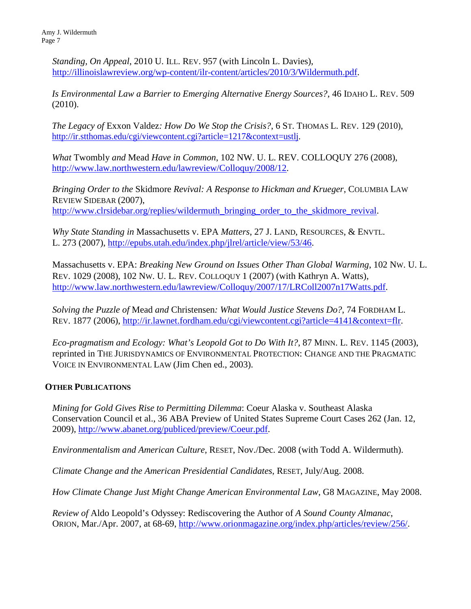*Standing, On Appeal*, 2010 U. ILL. REV. 957 (with Lincoln L. Davies), [http://illinoislawreview.org/wp-content/ilr-content/articles/2010/3/Wildermuth.pdf.](http://illinoislawreview.org/wp-content/ilr-content/articles/2010/3/Wildermuth.pdf)

*Is Environmental Law a Barrier to Emerging Alternative Energy Sources?*, 46 IDAHO L. REV. 509 (2010).

*The Legacy of* Exxon Valdez*: How Do We Stop the Crisis?*, 6 ST. THOMAS L. REV. 129 (2010), [http://ir.stthomas.edu/cgi/viewcontent.cgi?article=1217&context=ustlj.](http://ir.stthomas.edu/cgi/viewcontent.cgi?article=1217&context=ustlj)

*What* Twombly *and* Mead *Have in Common*, 102 NW. U. L. REV. COLLOQUY 276 (2008), [http://www.law.northwestern.edu/lawreview/Colloquy/2008/12.](http://www.law.northwestern.edu/lawreview/Colloquy/2008/12)

*Bringing Order to the* Skidmore *Revival: A Response to Hickman and Krueger*, COLUMBIA LAW REVIEW SIDEBAR (2007), [http://www.clrsidebar.org/replies/wildermuth\\_bringing\\_order\\_to\\_the\\_skidmore\\_revival.](http://www.clrsidebar.org/replies/wildermuth_bringing_order_to_the_skidmore_revival)

*Why State Standing in* Massachusetts v. EPA *Matters*, 27 J. LAND, RESOURCES, & ENVTL. L. 273 (2007), [http://epubs.utah.edu/index.php/jlrel/article/view/53/46.](http://epubs.utah.edu/index.php/jlrel/article/view/53/46)

Massachusetts v. EPA: *Breaking New Ground on Issues Other Than Global Warming*, 102 NW. U. L. REV. 1029 (2008), 102 NW. U. L. REV. COLLOQUY 1 (2007) (with Kathryn A. Watts), [http://www.law.northwestern.edu/lawreview/Colloquy/2007/17/LRColl2007n17Watts.pdf.](http://www.law.northwestern.edu/lawreview/Colloquy/2007/17/LRColl2007n17Watts.pdf)

*Solving the Puzzle of* Mead *and* Christensen*: What Would Justice Stevens Do?*, 74 FORDHAM L. REV. 1877 (2006), [http://ir.lawnet.fordham.edu/cgi/viewcontent.cgi?article=4141&context=flr.](http://ir.lawnet.fordham.edu/cgi/viewcontent.cgi?article=4141&context=flr)

*Eco-pragmatism and Ecology: What's Leopold Got to Do With It?*, 87 MINN. L. REV. 1145 (2003), reprinted in THE JURISDYNAMICS OF ENVIRONMENTAL PROTECTION: CHANGE AND THE PRAGMATIC VOICE IN ENVIRONMENTAL LAW (Jim Chen ed., 2003).

## **OTHER PUBLICATIONS**

*Mining for Gold Gives Rise to Permitting Dilemma*: Coeur Alaska v. Southeast Alaska Conservation Council et al., 36 ABA Preview of United States Supreme Court Cases 262 (Jan. 12, 2009), [http://www.abanet.org/publiced/preview/Coeur.pdf.](http://www.abanet.org/publiced/preview/Coeur.pdf)

*Environmentalism and American Culture*, RESET, Nov./Dec. 2008 (with Todd A. Wildermuth).

*Climate Change and the American Presidential Candidates*, RESET, July/Aug. 2008.

*How Climate Change Just Might Change American Environmental Law*, G8 MAGAZINE, May 2008.

*Review of* Aldo Leopold's Odyssey: Rediscovering the Author of *A Sound County Almanac*, ORION, Mar./Apr. 2007, at 68-69, [http://www.orionmagazine.org/index.php/articles/review/256/.](http://www.orionmagazine.org/index.php/articles/review/256/)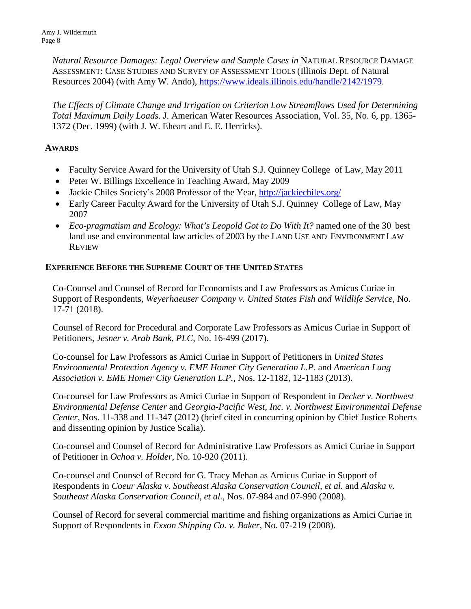Amy J. Wildermuth Page 8

> *Natural Resource Damages: Legal Overview and Sample Cases in* NATURAL RESOURCE DAMAGE ASSESSMENT: CASE STUDIES AND SURVEY OF ASSESSMENT TOOLS (Illinois Dept. of Natural Resources 2004) (with Amy W. Ando), [https://www.ideals.illinois.edu/handle/2142/1979.](https://www.ideals.illinois.edu/handle/2142/1979)

*The Effects of Climate Change and Irrigation on Criterion Low Streamflows Used for Determining Total Maximum Daily Loads*. J. American Water Resources Association, Vol. 35, No. 6, pp. 1365- 1372 (Dec. 1999) (with J. W. Eheart and E. E. Herricks).

## **AWARDS**

- Faculty Service Award for the University of Utah S.J. Quinney College of Law, May 2011
- Peter W. Billings Excellence in Teaching Award, May 2009
- Jackie Chiles Society's 2008 Professor of the Year, <http://jackiechiles.org/>
- Early Career Faculty Award for the University of Utah S.J. Quinney College of Law, May 2007
- *Eco-pragmatism and Ecology: What's Leopold Got to Do With It?* named one of the 30 best land use and environmental law articles of 2003 by the LAND USE AND ENVIRONMENT LAW **REVIEW**

### **EXPERIENCE BEFORE THE SUPREME COURT OF THE UNITED STATES**

Co-Counsel and Counsel of Record for Economists and Law Professors as Amicus Curiae in Support of Respondents, *Weyerhaeuser Company v. United States Fish and Wildlife Service*, No. 17-71 (2018).

Counsel of Record for Procedural and Corporate Law Professors as Amicus Curiae in Support of Petitioners, *Jesner v. Arab Bank, PLC*, No. 16-499 (2017).

Co-counsel for Law Professors as Amici Curiae in Support of Petitioners in *United States Environmental Protection Agency v. EME Homer City Generation L.P*. and *American Lung Association v. EME Homer City Generation L.P.*, Nos. 12-1182, 12-1183 (2013).

Co-counsel for Law Professors as Amici Curiae in Support of Respondent in *Decker v. Northwest Environmental Defense Center* and *Georgia-Pacific West, Inc. v. Northwest Environmental Defense Center*, Nos. 11-338 and 11-347 (2012) (brief cited in concurring opinion by Chief Justice Roberts and dissenting opinion by Justice Scalia).

Co-counsel and Counsel of Record for Administrative Law Professors as Amici Curiae in Support of Petitioner in *Ochoa v. Holder*, No. 10-920 (2011).

Co-counsel and Counsel of Record for G. Tracy Mehan as Amicus Curiae in Support of Respondents in *Coeur Alaska v. Southeast Alaska Conservation Council, et al.* and *Alaska v. Southeast Alaska Conservation Council, et al.*, Nos. 07-984 and 07-990 (2008).

Counsel of Record for several commercial maritime and fishing organizations as Amici Curiae in Support of Respondents in *Exxon Shipping Co. v. Baker*, No. 07-219 (2008).